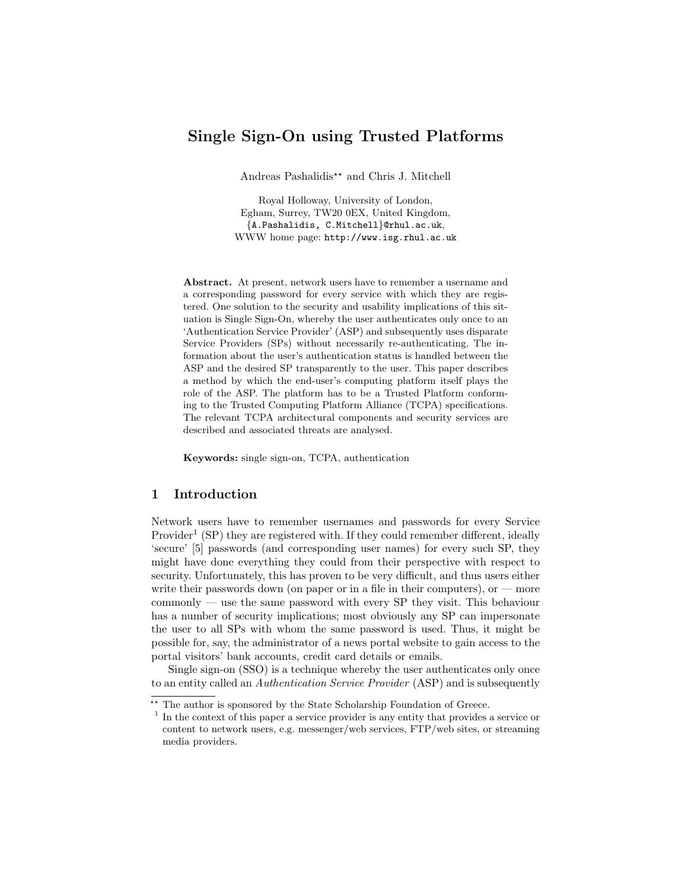# Single Sign-On using Trusted Platforms

Andreas Pashalidis?? and Chris J. Mitchell

Royal Holloway, University of London, Egham, Surrey, TW20 0EX, United Kingdom, {A.Pashalidis, C.Mitchell}@rhul.ac.uk, WWW home page: http://www.isg.rhul.ac.uk

Abstract. At present, network users have to remember a username and a corresponding password for every service with which they are registered. One solution to the security and usability implications of this situation is Single Sign-On, whereby the user authenticates only once to an 'Authentication Service Provider' (ASP) and subsequently uses disparate Service Providers (SPs) without necessarily re-authenticating. The information about the user's authentication status is handled between the ASP and the desired SP transparently to the user. This paper describes a method by which the end-user's computing platform itself plays the role of the ASP. The platform has to be a Trusted Platform conforming to the Trusted Computing Platform Alliance (TCPA) specifications. The relevant TCPA architectural components and security services are described and associated threats are analysed.

Keywords: single sign-on, TCPA, authentication

# 1 Introduction

Network users have to remember usernames and passwords for every Service Provider<sup>1</sup> (SP) they are registered with. If they could remember different, ideally 'secure' [5] passwords (and corresponding user names) for every such SP, they might have done everything they could from their perspective with respect to security. Unfortunately, this has proven to be very difficult, and thus users either write their passwords down (on paper or in a file in their computers), or  $-$  more commonly — use the same password with every SP they visit. This behaviour has a number of security implications; most obviously any SP can impersonate the user to all SPs with whom the same password is used. Thus, it might be possible for, say, the administrator of a news portal website to gain access to the portal visitors' bank accounts, credit card details or emails.

Single sign-on (SSO) is a technique whereby the user authenticates only once to an entity called an Authentication Service Provider (ASP) and is subsequently

 $\overline{a}$ <sup>\*\*</sup> The author is sponsored by the State Scholarship Foundation of Greece.

<sup>&</sup>lt;sup>1</sup> In the context of this paper a service provider is any entity that provides a service or content to network users, e.g. messenger/web services, FTP/web sites, or streaming media providers.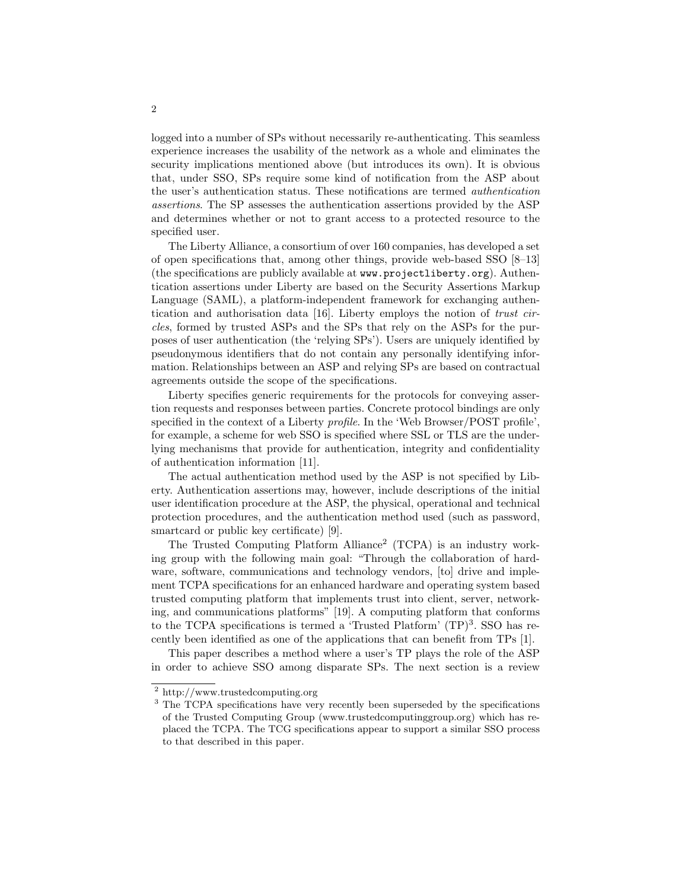logged into a number of SPs without necessarily re-authenticating. This seamless experience increases the usability of the network as a whole and eliminates the security implications mentioned above (but introduces its own). It is obvious that, under SSO, SPs require some kind of notification from the ASP about the user's authentication status. These notifications are termed authentication assertions. The SP assesses the authentication assertions provided by the ASP and determines whether or not to grant access to a protected resource to the specified user.

The Liberty Alliance, a consortium of over 160 companies, has developed a set of open specifications that, among other things, provide web-based SSO [8–13] (the specifications are publicly available at www.projectliberty.org). Authentication assertions under Liberty are based on the Security Assertions Markup Language (SAML), a platform-independent framework for exchanging authentication and authorisation data [16]. Liberty employs the notion of trust circles, formed by trusted ASPs and the SPs that rely on the ASPs for the purposes of user authentication (the 'relying SPs'). Users are uniquely identified by pseudonymous identifiers that do not contain any personally identifying information. Relationships between an ASP and relying SPs are based on contractual agreements outside the scope of the specifications.

Liberty specifies generic requirements for the protocols for conveying assertion requests and responses between parties. Concrete protocol bindings are only specified in the context of a Liberty profile. In the 'Web Browser/POST profile', for example, a scheme for web SSO is specified where SSL or TLS are the underlying mechanisms that provide for authentication, integrity and confidentiality of authentication information [11].

The actual authentication method used by the ASP is not specified by Liberty. Authentication assertions may, however, include descriptions of the initial user identification procedure at the ASP, the physical, operational and technical protection procedures, and the authentication method used (such as password, smartcard or public key certificate) [9].

The Trusted Computing Platform Alliance<sup>2</sup> (TCPA) is an industry working group with the following main goal: "Through the collaboration of hardware, software, communications and technology vendors, [to] drive and implement TCPA specifications for an enhanced hardware and operating system based trusted computing platform that implements trust into client, server, networking, and communications platforms" [19]. A computing platform that conforms to the TCPA specifications is termed a 'Trusted Platform' (TP)<sup>3</sup>. SSO has recently been identified as one of the applications that can benefit from TPs [1].

This paper describes a method where a user's TP plays the role of the ASP in order to achieve SSO among disparate SPs. The next section is a review

<sup>2</sup> http://www.trustedcomputing.org

<sup>&</sup>lt;sup>3</sup> The TCPA specifications have very recently been superseded by the specifications of the Trusted Computing Group (www.trustedcomputinggroup.org) which has replaced the TCPA. The TCG specifications appear to support a similar SSO process to that described in this paper.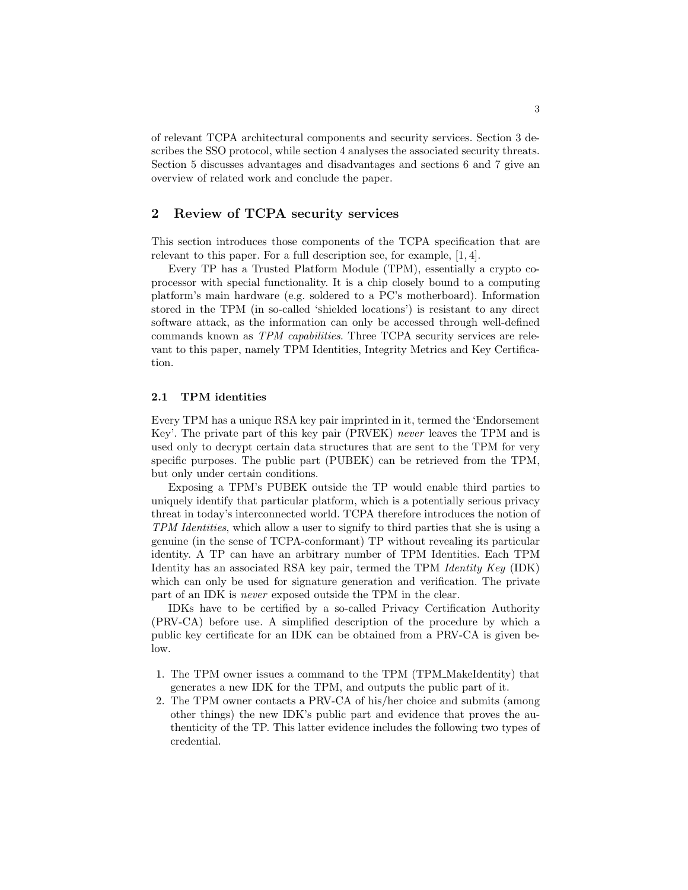of relevant TCPA architectural components and security services. Section 3 describes the SSO protocol, while section 4 analyses the associated security threats. Section 5 discusses advantages and disadvantages and sections 6 and 7 give an overview of related work and conclude the paper.

### 2 Review of TCPA security services

This section introduces those components of the TCPA specification that are relevant to this paper. For a full description see, for example, [1, 4].

Every TP has a Trusted Platform Module (TPM), essentially a crypto coprocessor with special functionality. It is a chip closely bound to a computing platform's main hardware (e.g. soldered to a PC's motherboard). Information stored in the TPM (in so-called 'shielded locations') is resistant to any direct software attack, as the information can only be accessed through well-defined commands known as TPM capabilities. Three TCPA security services are relevant to this paper, namely TPM Identities, Integrity Metrics and Key Certification.

### 2.1 TPM identities

Every TPM has a unique RSA key pair imprinted in it, termed the 'Endorsement Key'. The private part of this key pair (PRVEK) never leaves the TPM and is used only to decrypt certain data structures that are sent to the TPM for very specific purposes. The public part (PUBEK) can be retrieved from the TPM, but only under certain conditions.

Exposing a TPM's PUBEK outside the TP would enable third parties to uniquely identify that particular platform, which is a potentially serious privacy threat in today's interconnected world. TCPA therefore introduces the notion of TPM Identities, which allow a user to signify to third parties that she is using a genuine (in the sense of TCPA-conformant) TP without revealing its particular identity. A TP can have an arbitrary number of TPM Identities. Each TPM Identity has an associated RSA key pair, termed the TPM Identity Key (IDK) which can only be used for signature generation and verification. The private part of an IDK is never exposed outside the TPM in the clear.

IDKs have to be certified by a so-called Privacy Certification Authority (PRV-CA) before use. A simplified description of the procedure by which a public key certificate for an IDK can be obtained from a PRV-CA is given below.

- 1. The TPM owner issues a command to the TPM (TPM MakeIdentity) that generates a new IDK for the TPM, and outputs the public part of it.
- 2. The TPM owner contacts a PRV-CA of his/her choice and submits (among other things) the new IDK's public part and evidence that proves the authenticity of the TP. This latter evidence includes the following two types of credential.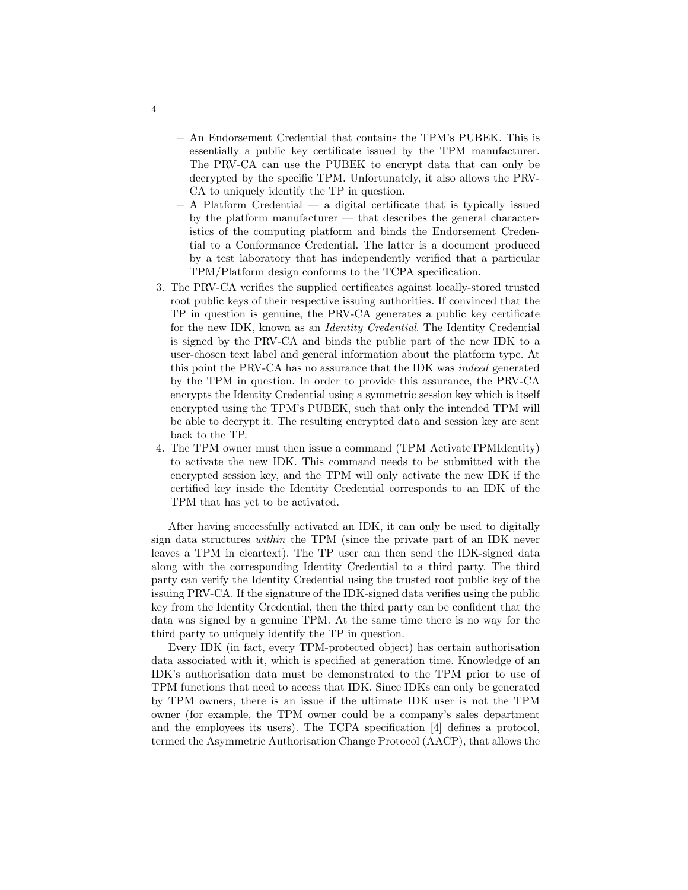- An Endorsement Credential that contains the TPM's PUBEK. This is essentially a public key certificate issued by the TPM manufacturer. The PRV-CA can use the PUBEK to encrypt data that can only be decrypted by the specific TPM. Unfortunately, it also allows the PRV-CA to uniquely identify the TP in question.
- A Platform Credential a digital certificate that is typically issued by the platform manufacturer  $-$  that describes the general characteristics of the computing platform and binds the Endorsement Credential to a Conformance Credential. The latter is a document produced by a test laboratory that has independently verified that a particular TPM/Platform design conforms to the TCPA specification.
- 3. The PRV-CA verifies the supplied certificates against locally-stored trusted root public keys of their respective issuing authorities. If convinced that the TP in question is genuine, the PRV-CA generates a public key certificate for the new IDK, known as an Identity Credential. The Identity Credential is signed by the PRV-CA and binds the public part of the new IDK to a user-chosen text label and general information about the platform type. At this point the PRV-CA has no assurance that the IDK was indeed generated by the TPM in question. In order to provide this assurance, the PRV-CA encrypts the Identity Credential using a symmetric session key which is itself encrypted using the TPM's PUBEK, such that only the intended TPM will be able to decrypt it. The resulting encrypted data and session key are sent back to the TP.
- 4. The TPM owner must then issue a command (TPM ActivateTPMIdentity) to activate the new IDK. This command needs to be submitted with the encrypted session key, and the TPM will only activate the new IDK if the certified key inside the Identity Credential corresponds to an IDK of the TPM that has yet to be activated.

After having successfully activated an IDK, it can only be used to digitally sign data structures within the TPM (since the private part of an IDK never leaves a TPM in cleartext). The TP user can then send the IDK-signed data along with the corresponding Identity Credential to a third party. The third party can verify the Identity Credential using the trusted root public key of the issuing PRV-CA. If the signature of the IDK-signed data verifies using the public key from the Identity Credential, then the third party can be confident that the data was signed by a genuine TPM. At the same time there is no way for the third party to uniquely identify the TP in question.

Every IDK (in fact, every TPM-protected object) has certain authorisation data associated with it, which is specified at generation time. Knowledge of an IDK's authorisation data must be demonstrated to the TPM prior to use of TPM functions that need to access that IDK. Since IDKs can only be generated by TPM owners, there is an issue if the ultimate IDK user is not the TPM owner (for example, the TPM owner could be a company's sales department and the employees its users). The TCPA specification [4] defines a protocol, termed the Asymmetric Authorisation Change Protocol (AACP), that allows the

4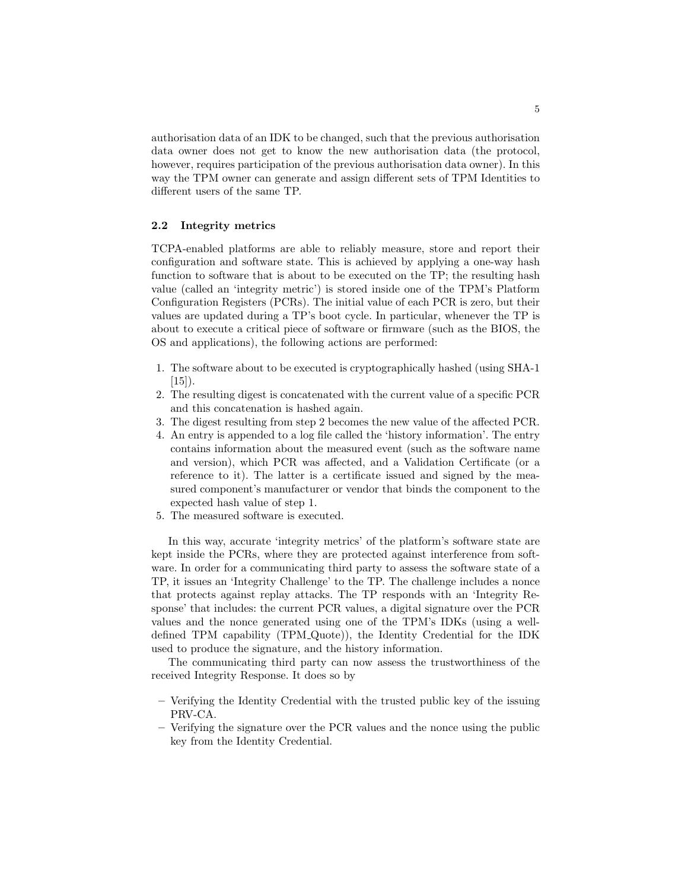authorisation data of an IDK to be changed, such that the previous authorisation data owner does not get to know the new authorisation data (the protocol, however, requires participation of the previous authorisation data owner). In this way the TPM owner can generate and assign different sets of TPM Identities to different users of the same TP.

### 2.2 Integrity metrics

TCPA-enabled platforms are able to reliably measure, store and report their configuration and software state. This is achieved by applying a one-way hash function to software that is about to be executed on the TP; the resulting hash value (called an 'integrity metric') is stored inside one of the TPM's Platform Configuration Registers (PCRs). The initial value of each PCR is zero, but their values are updated during a TP's boot cycle. In particular, whenever the TP is about to execute a critical piece of software or firmware (such as the BIOS, the OS and applications), the following actions are performed:

- 1. The software about to be executed is cryptographically hashed (using SHA-1  $[15]$ .
- 2. The resulting digest is concatenated with the current value of a specific PCR and this concatenation is hashed again.
- 3. The digest resulting from step 2 becomes the new value of the affected PCR.
- 4. An entry is appended to a log file called the 'history information'. The entry contains information about the measured event (such as the software name and version), which PCR was affected, and a Validation Certificate (or a reference to it). The latter is a certificate issued and signed by the measured component's manufacturer or vendor that binds the component to the expected hash value of step 1.
- 5. The measured software is executed.

In this way, accurate 'integrity metrics' of the platform's software state are kept inside the PCRs, where they are protected against interference from software. In order for a communicating third party to assess the software state of a TP, it issues an 'Integrity Challenge' to the TP. The challenge includes a nonce that protects against replay attacks. The TP responds with an 'Integrity Response' that includes: the current PCR values, a digital signature over the PCR values and the nonce generated using one of the TPM's IDKs (using a welldefined TPM capability (TPM Quote)), the Identity Credential for the IDK used to produce the signature, and the history information.

The communicating third party can now assess the trustworthiness of the received Integrity Response. It does so by

- Verifying the Identity Credential with the trusted public key of the issuing PRV-CA.
- Verifying the signature over the PCR values and the nonce using the public key from the Identity Credential.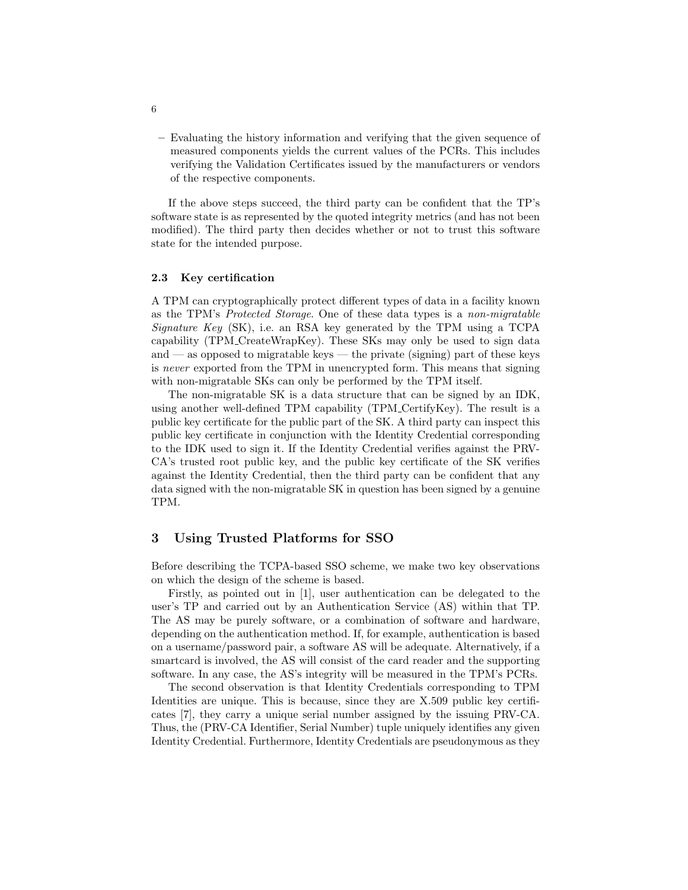– Evaluating the history information and verifying that the given sequence of measured components yields the current values of the PCRs. This includes verifying the Validation Certificates issued by the manufacturers or vendors of the respective components.

If the above steps succeed, the third party can be confident that the TP's software state is as represented by the quoted integrity metrics (and has not been modified). The third party then decides whether or not to trust this software state for the intended purpose.

### 2.3 Key certification

A TPM can cryptographically protect different types of data in a facility known as the TPM's Protected Storage. One of these data types is a non-migratable Signature Key (SK), i.e. an RSA key generated by the TPM using a TCPA capability (TPM CreateWrapKey). These SKs may only be used to sign data and — as opposed to migratable keys — the private (signing) part of these keys is never exported from the TPM in unencrypted form. This means that signing with non-migratable SKs can only be performed by the TPM itself.

The non-migratable SK is a data structure that can be signed by an IDK, using another well-defined TPM capability (TPM CertifyKey). The result is a public key certificate for the public part of the SK. A third party can inspect this public key certificate in conjunction with the Identity Credential corresponding to the IDK used to sign it. If the Identity Credential verifies against the PRV-CA's trusted root public key, and the public key certificate of the SK verifies against the Identity Credential, then the third party can be confident that any data signed with the non-migratable SK in question has been signed by a genuine TPM.

### 3 Using Trusted Platforms for SSO

Before describing the TCPA-based SSO scheme, we make two key observations on which the design of the scheme is based.

Firstly, as pointed out in [1], user authentication can be delegated to the user's TP and carried out by an Authentication Service (AS) within that TP. The AS may be purely software, or a combination of software and hardware, depending on the authentication method. If, for example, authentication is based on a username/password pair, a software AS will be adequate. Alternatively, if a smartcard is involved, the AS will consist of the card reader and the supporting software. In any case, the AS's integrity will be measured in the TPM's PCRs.

The second observation is that Identity Credentials corresponding to TPM Identities are unique. This is because, since they are X.509 public key certificates [7], they carry a unique serial number assigned by the issuing PRV-CA. Thus, the (PRV-CA Identifier, Serial Number) tuple uniquely identifies any given Identity Credential. Furthermore, Identity Credentials are pseudonymous as they

6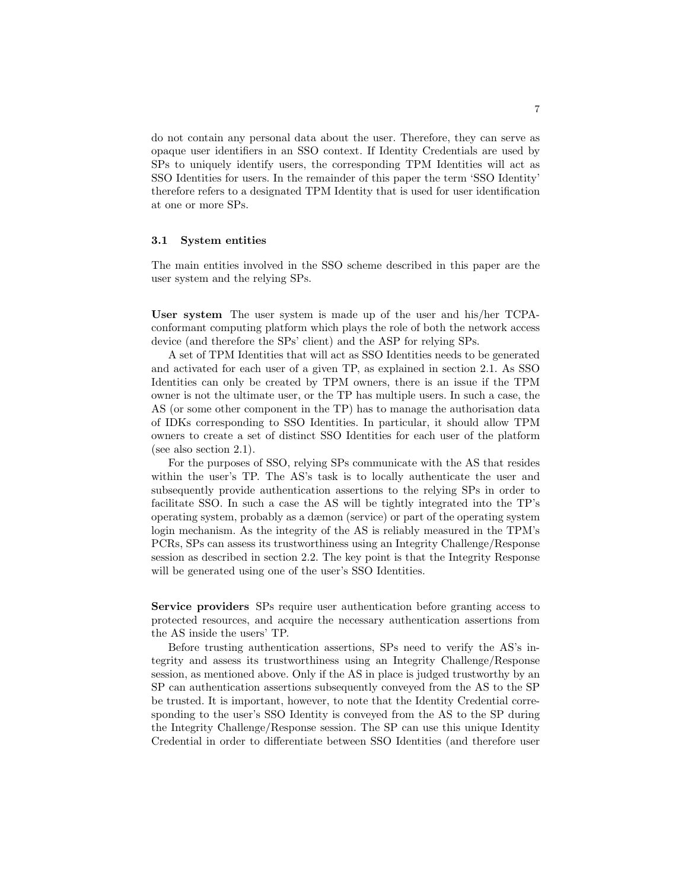do not contain any personal data about the user. Therefore, they can serve as opaque user identifiers in an SSO context. If Identity Credentials are used by SPs to uniquely identify users, the corresponding TPM Identities will act as SSO Identities for users. In the remainder of this paper the term 'SSO Identity' therefore refers to a designated TPM Identity that is used for user identification at one or more SPs.

### 3.1 System entities

The main entities involved in the SSO scheme described in this paper are the user system and the relying SPs.

User system The user system is made up of the user and his/her TCPAconformant computing platform which plays the role of both the network access device (and therefore the SPs' client) and the ASP for relying SPs.

A set of TPM Identities that will act as SSO Identities needs to be generated and activated for each user of a given TP, as explained in section 2.1. As SSO Identities can only be created by TPM owners, there is an issue if the TPM owner is not the ultimate user, or the TP has multiple users. In such a case, the AS (or some other component in the TP) has to manage the authorisation data of IDKs corresponding to SSO Identities. In particular, it should allow TPM owners to create a set of distinct SSO Identities for each user of the platform (see also section 2.1).

For the purposes of SSO, relying SPs communicate with the AS that resides within the user's TP. The AS's task is to locally authenticate the user and subsequently provide authentication assertions to the relying SPs in order to facilitate SSO. In such a case the AS will be tightly integrated into the TP's operating system, probably as a dæmon (service) or part of the operating system login mechanism. As the integrity of the AS is reliably measured in the TPM's PCRs, SPs can assess its trustworthiness using an Integrity Challenge/Response session as described in section 2.2. The key point is that the Integrity Response will be generated using one of the user's SSO Identities.

Service providers SPs require user authentication before granting access to protected resources, and acquire the necessary authentication assertions from the AS inside the users' TP.

Before trusting authentication assertions, SPs need to verify the AS's integrity and assess its trustworthiness using an Integrity Challenge/Response session, as mentioned above. Only if the AS in place is judged trustworthy by an SP can authentication assertions subsequently conveyed from the AS to the SP be trusted. It is important, however, to note that the Identity Credential corresponding to the user's SSO Identity is conveyed from the AS to the SP during the Integrity Challenge/Response session. The SP can use this unique Identity Credential in order to differentiate between SSO Identities (and therefore user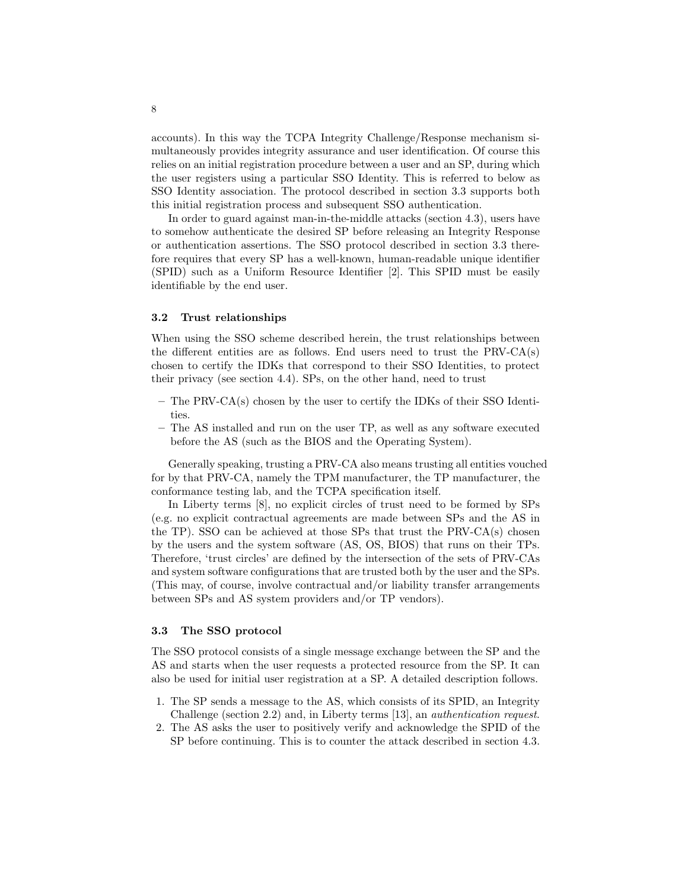accounts). In this way the TCPA Integrity Challenge/Response mechanism simultaneously provides integrity assurance and user identification. Of course this relies on an initial registration procedure between a user and an SP, during which the user registers using a particular SSO Identity. This is referred to below as SSO Identity association. The protocol described in section 3.3 supports both this initial registration process and subsequent SSO authentication.

In order to guard against man-in-the-middle attacks (section 4.3), users have to somehow authenticate the desired SP before releasing an Integrity Response or authentication assertions. The SSO protocol described in section 3.3 therefore requires that every SP has a well-known, human-readable unique identifier (SPID) such as a Uniform Resource Identifier [2]. This SPID must be easily identifiable by the end user.

#### 3.2 Trust relationships

When using the SSO scheme described herein, the trust relationships between the different entities are as follows. End users need to trust the  $PRV\text{-CA}(s)$ chosen to certify the IDKs that correspond to their SSO Identities, to protect their privacy (see section 4.4). SPs, on the other hand, need to trust

- The PRV-CA(s) chosen by the user to certify the IDKs of their SSO Identities.
- The AS installed and run on the user TP, as well as any software executed before the AS (such as the BIOS and the Operating System).

Generally speaking, trusting a PRV-CA also means trusting all entities vouched for by that PRV-CA, namely the TPM manufacturer, the TP manufacturer, the conformance testing lab, and the TCPA specification itself.

In Liberty terms [8], no explicit circles of trust need to be formed by SPs (e.g. no explicit contractual agreements are made between SPs and the AS in the TP). SSO can be achieved at those SPs that trust the  $PRV\text{-CA}(s)$  chosen by the users and the system software (AS, OS, BIOS) that runs on their TPs. Therefore, 'trust circles' are defined by the intersection of the sets of PRV-CAs and system software configurations that are trusted both by the user and the SPs. (This may, of course, involve contractual and/or liability transfer arrangements between SPs and AS system providers and/or TP vendors).

### 3.3 The SSO protocol

The SSO protocol consists of a single message exchange between the SP and the AS and starts when the user requests a protected resource from the SP. It can also be used for initial user registration at a SP. A detailed description follows.

- 1. The SP sends a message to the AS, which consists of its SPID, an Integrity Challenge (section 2.2) and, in Liberty terms [13], an authentication request.
- 2. The AS asks the user to positively verify and acknowledge the SPID of the SP before continuing. This is to counter the attack described in section 4.3.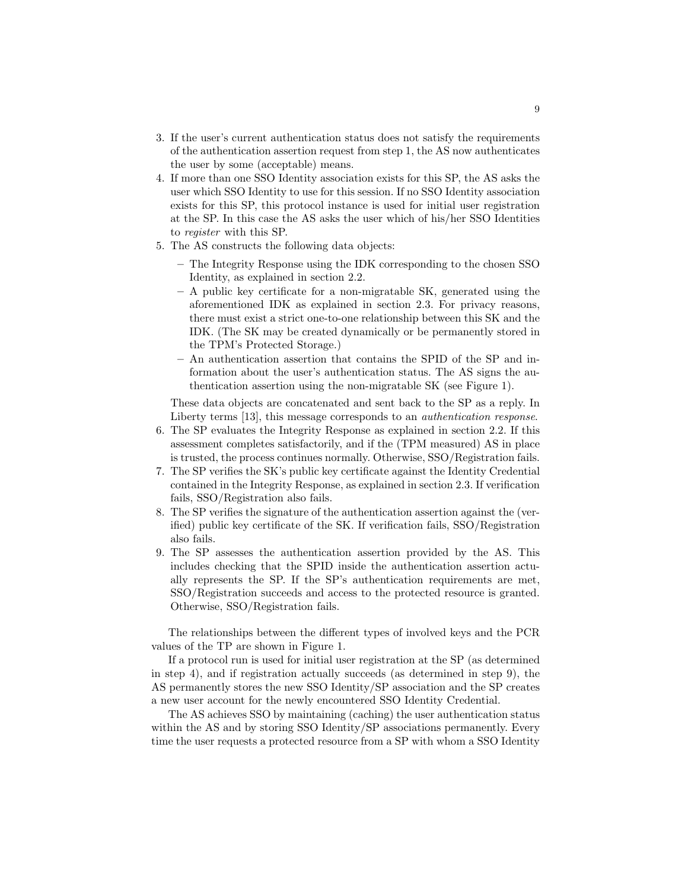- 3. If the user's current authentication status does not satisfy the requirements of the authentication assertion request from step 1, the AS now authenticates the user by some (acceptable) means.
- 4. If more than one SSO Identity association exists for this SP, the AS asks the user which SSO Identity to use for this session. If no SSO Identity association exists for this SP, this protocol instance is used for initial user registration at the SP. In this case the AS asks the user which of his/her SSO Identities to register with this SP.
- 5. The AS constructs the following data objects:
	- The Integrity Response using the IDK corresponding to the chosen SSO Identity, as explained in section 2.2.
	- A public key certificate for a non-migratable SK, generated using the aforementioned IDK as explained in section 2.3. For privacy reasons, there must exist a strict one-to-one relationship between this SK and the IDK. (The SK may be created dynamically or be permanently stored in the TPM's Protected Storage.)
	- An authentication assertion that contains the SPID of the SP and information about the user's authentication status. The AS signs the authentication assertion using the non-migratable SK (see Figure 1).

These data objects are concatenated and sent back to the SP as a reply. In Liberty terms [13], this message corresponds to an *authentication response*.

- 6. The SP evaluates the Integrity Response as explained in section 2.2. If this assessment completes satisfactorily, and if the (TPM measured) AS in place is trusted, the process continues normally. Otherwise, SSO/Registration fails.
- 7. The SP verifies the SK's public key certificate against the Identity Credential contained in the Integrity Response, as explained in section 2.3. If verification fails, SSO/Registration also fails.
- 8. The SP verifies the signature of the authentication assertion against the (verified) public key certificate of the SK. If verification fails, SSO/Registration also fails.
- 9. The SP assesses the authentication assertion provided by the AS. This includes checking that the SPID inside the authentication assertion actually represents the SP. If the SP's authentication requirements are met, SSO/Registration succeeds and access to the protected resource is granted. Otherwise, SSO/Registration fails.

The relationships between the different types of involved keys and the PCR values of the TP are shown in Figure 1.

If a protocol run is used for initial user registration at the SP (as determined in step 4), and if registration actually succeeds (as determined in step 9), the AS permanently stores the new SSO Identity/SP association and the SP creates a new user account for the newly encountered SSO Identity Credential.

The AS achieves SSO by maintaining (caching) the user authentication status within the AS and by storing SSO Identity/SP associations permanently. Every time the user requests a protected resource from a SP with whom a SSO Identity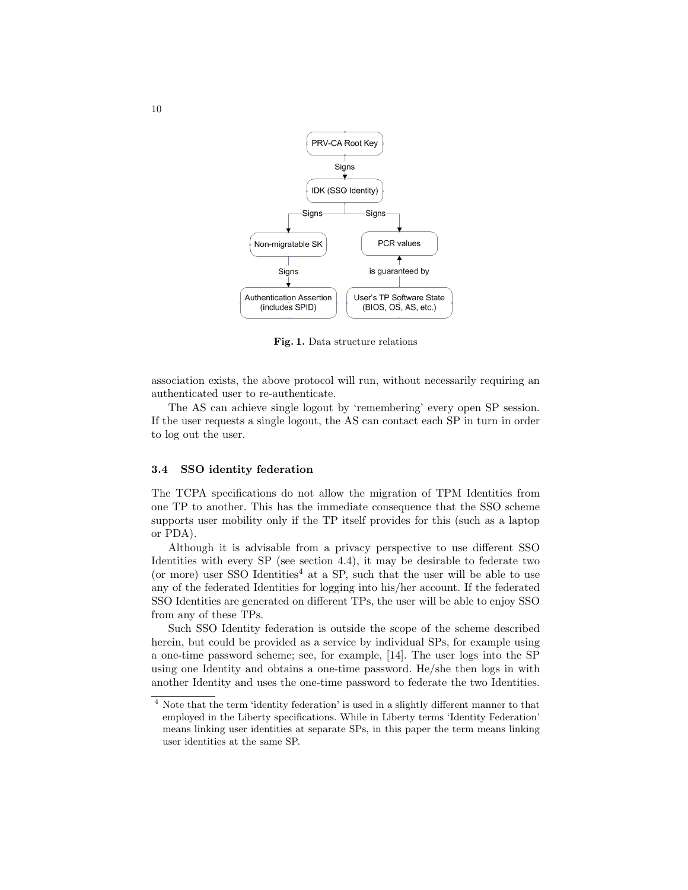

Fig. 1. Data structure relations

association exists, the above protocol will run, without necessarily requiring an authenticated user to re-authenticate.

The AS can achieve single logout by 'remembering' every open SP session. If the user requests a single logout, the AS can contact each SP in turn in order to log out the user.

#### 3.4 SSO identity federation

The TCPA specifications do not allow the migration of TPM Identities from one TP to another. This has the immediate consequence that the SSO scheme supports user mobility only if the TP itself provides for this (such as a laptop or PDA).

Although it is advisable from a privacy perspective to use different SSO Identities with every SP (see section 4.4), it may be desirable to federate two (or more) user SSO Identities<sup>4</sup> at a SP, such that the user will be able to use any of the federated Identities for logging into his/her account. If the federated SSO Identities are generated on different TPs, the user will be able to enjoy SSO from any of these TPs.

Such SSO Identity federation is outside the scope of the scheme described herein, but could be provided as a service by individual SPs, for example using a one-time password scheme; see, for example, [14]. The user logs into the SP using one Identity and obtains a one-time password. He/she then logs in with another Identity and uses the one-time password to federate the two Identities.

<sup>4</sup> Note that the term 'identity federation' is used in a slightly different manner to that employed in the Liberty specifications. While in Liberty terms 'Identity Federation' means linking user identities at separate SPs, in this paper the term means linking user identities at the same SP.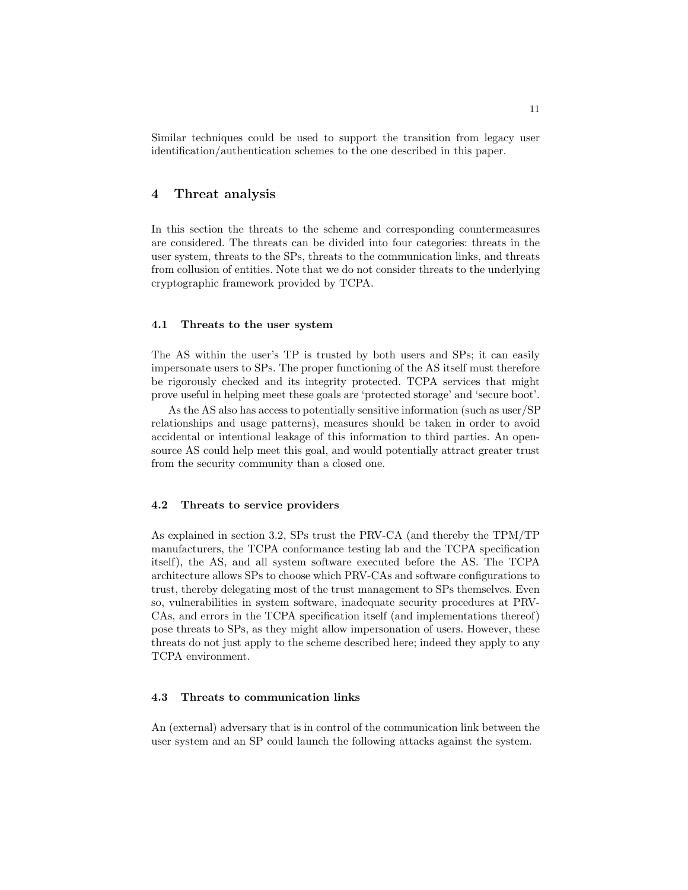Similar techniques could be used to support the transition from legacy user identification/authentication schemes to the one described in this paper.

# 4 Threat analysis

In this section the threats to the scheme and corresponding countermeasures are considered. The threats can be divided into four categories: threats in the user system, threats to the SPs, threats to the communication links, and threats from collusion of entities. Note that we do not consider threats to the underlying cryptographic framework provided by TCPA.

#### 4.1 Threats to the user system

The AS within the user's TP is trusted by both users and SPs; it can easily impersonate users to SPs. The proper functioning of the AS itself must therefore be rigorously checked and its integrity protected. TCPA services that might prove useful in helping meet these goals are 'protected storage' and 'secure boot'.

As the AS also has access to potentially sensitive information (such as user/SP relationships and usage patterns), measures should be taken in order to avoid accidental or intentional leakage of this information to third parties. An opensource AS could help meet this goal, and would potentially attract greater trust from the security community than a closed one.

### 4.2 Threats to service providers

As explained in section 3.2, SPs trust the PRV-CA (and thereby the TPM/TP manufacturers, the TCPA conformance testing lab and the TCPA specification itself), the AS, and all system software executed before the AS. The TCPA architecture allows SPs to choose which PRV-CAs and software configurations to trust, thereby delegating most of the trust management to SPs themselves. Even so, vulnerabilities in system software, inadequate security procedures at PRV-CAs, and errors in the TCPA specification itself (and implementations thereof) pose threats to SPs, as they might allow impersonation of users. However, these threats do not just apply to the scheme described here; indeed they apply to any TCPA environment.

### 4.3 Threats to communication links

An (external) adversary that is in control of the communication link between the user system and an SP could launch the following attacks against the system.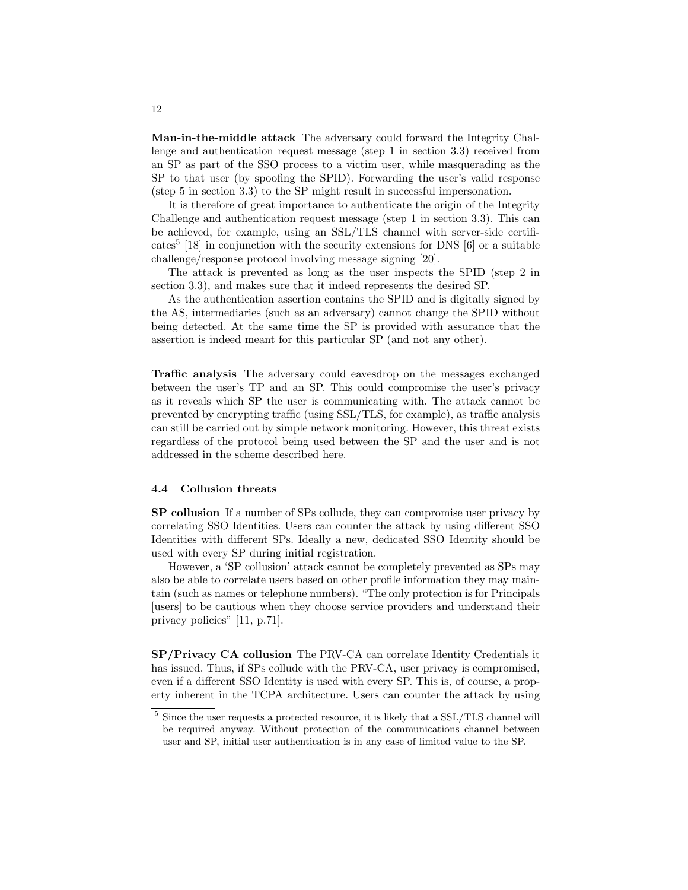Man-in-the-middle attack The adversary could forward the Integrity Challenge and authentication request message (step 1 in section 3.3) received from an SP as part of the SSO process to a victim user, while masquerading as the SP to that user (by spoofing the SPID). Forwarding the user's valid response (step 5 in section 3.3) to the SP might result in successful impersonation.

It is therefore of great importance to authenticate the origin of the Integrity Challenge and authentication request message (step 1 in section 3.3). This can be achieved, for example, using an SSL/TLS channel with server-side certificates<sup>5</sup> [18] in conjunction with the security extensions for DNS [6] or a suitable challenge/response protocol involving message signing [20].

The attack is prevented as long as the user inspects the SPID (step 2 in section 3.3), and makes sure that it indeed represents the desired SP.

As the authentication assertion contains the SPID and is digitally signed by the AS, intermediaries (such as an adversary) cannot change the SPID without being detected. At the same time the SP is provided with assurance that the assertion is indeed meant for this particular SP (and not any other).

Traffic analysis The adversary could eavesdrop on the messages exchanged between the user's TP and an SP. This could compromise the user's privacy as it reveals which SP the user is communicating with. The attack cannot be prevented by encrypting traffic (using SSL/TLS, for example), as traffic analysis can still be carried out by simple network monitoring. However, this threat exists regardless of the protocol being used between the SP and the user and is not addressed in the scheme described here.

### 4.4 Collusion threats

SP collusion If a number of SPs collude, they can compromise user privacy by correlating SSO Identities. Users can counter the attack by using different SSO Identities with different SPs. Ideally a new, dedicated SSO Identity should be used with every SP during initial registration.

However, a 'SP collusion' attack cannot be completely prevented as SPs may also be able to correlate users based on other profile information they may maintain (such as names or telephone numbers). "The only protection is for Principals [users] to be cautious when they choose service providers and understand their privacy policies" [11, p.71].

SP/Privacy CA collusion The PRV-CA can correlate Identity Credentials it has issued. Thus, if SPs collude with the PRV-CA, user privacy is compromised, even if a different SSO Identity is used with every SP. This is, of course, a property inherent in the TCPA architecture. Users can counter the attack by using

12

<sup>5</sup> Since the user requests a protected resource, it is likely that a SSL/TLS channel will be required anyway. Without protection of the communications channel between user and SP, initial user authentication is in any case of limited value to the SP.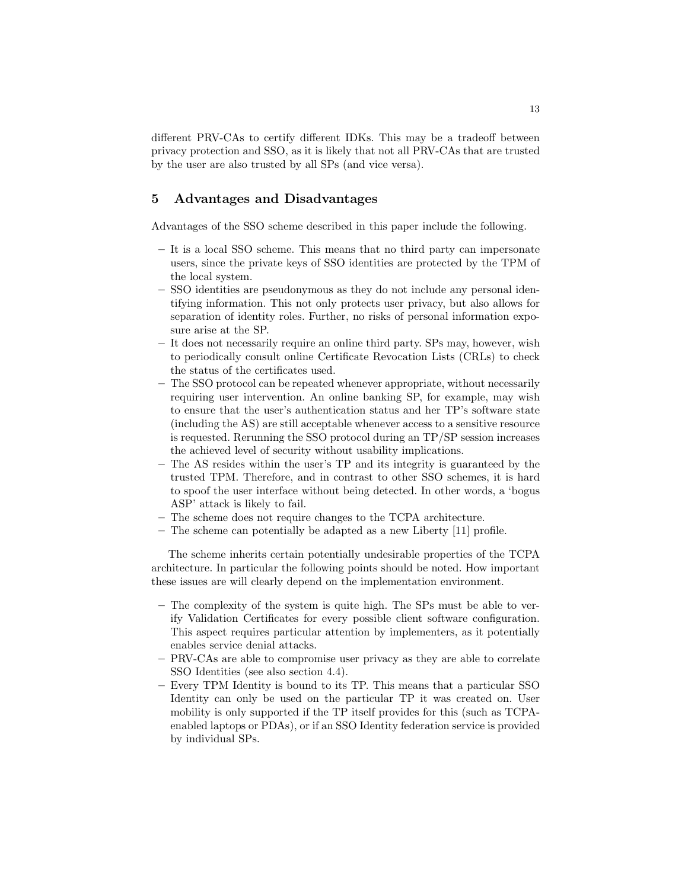different PRV-CAs to certify different IDKs. This may be a tradeoff between privacy protection and SSO, as it is likely that not all PRV-CAs that are trusted by the user are also trusted by all SPs (and vice versa).

# 5 Advantages and Disadvantages

Advantages of the SSO scheme described in this paper include the following.

- It is a local SSO scheme. This means that no third party can impersonate users, since the private keys of SSO identities are protected by the TPM of the local system.
- SSO identities are pseudonymous as they do not include any personal identifying information. This not only protects user privacy, but also allows for separation of identity roles. Further, no risks of personal information exposure arise at the SP.
- It does not necessarily require an online third party. SPs may, however, wish to periodically consult online Certificate Revocation Lists (CRLs) to check the status of the certificates used.
- The SSO protocol can be repeated whenever appropriate, without necessarily requiring user intervention. An online banking SP, for example, may wish to ensure that the user's authentication status and her TP's software state (including the AS) are still acceptable whenever access to a sensitive resource is requested. Rerunning the SSO protocol during an TP/SP session increases the achieved level of security without usability implications.
- The AS resides within the user's TP and its integrity is guaranteed by the trusted TPM. Therefore, and in contrast to other SSO schemes, it is hard to spoof the user interface without being detected. In other words, a 'bogus ASP' attack is likely to fail.
- The scheme does not require changes to the TCPA architecture.
- The scheme can potentially be adapted as a new Liberty [11] profile.

The scheme inherits certain potentially undesirable properties of the TCPA architecture. In particular the following points should be noted. How important these issues are will clearly depend on the implementation environment.

- The complexity of the system is quite high. The SPs must be able to verify Validation Certificates for every possible client software configuration. This aspect requires particular attention by implementers, as it potentially enables service denial attacks.
- PRV-CAs are able to compromise user privacy as they are able to correlate SSO Identities (see also section 4.4).
- Every TPM Identity is bound to its TP. This means that a particular SSO Identity can only be used on the particular TP it was created on. User mobility is only supported if the TP itself provides for this (such as TCPAenabled laptops or PDAs), or if an SSO Identity federation service is provided by individual SPs.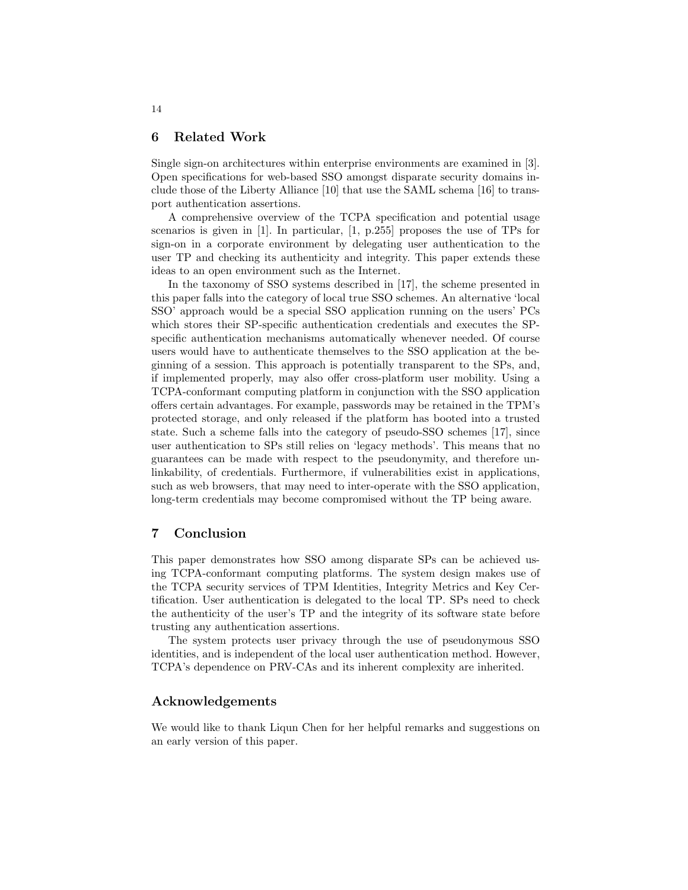### 6 Related Work

Single sign-on architectures within enterprise environments are examined in [3]. Open specifications for web-based SSO amongst disparate security domains include those of the Liberty Alliance [10] that use the SAML schema [16] to transport authentication assertions.

A comprehensive overview of the TCPA specification and potential usage scenarios is given in [1]. In particular, [1, p.255] proposes the use of TPs for sign-on in a corporate environment by delegating user authentication to the user TP and checking its authenticity and integrity. This paper extends these ideas to an open environment such as the Internet.

In the taxonomy of SSO systems described in [17], the scheme presented in this paper falls into the category of local true SSO schemes. An alternative 'local SSO' approach would be a special SSO application running on the users' PCs which stores their SP-specific authentication credentials and executes the SPspecific authentication mechanisms automatically whenever needed. Of course users would have to authenticate themselves to the SSO application at the beginning of a session. This approach is potentially transparent to the SPs, and, if implemented properly, may also offer cross-platform user mobility. Using a TCPA-conformant computing platform in conjunction with the SSO application offers certain advantages. For example, passwords may be retained in the TPM's protected storage, and only released if the platform has booted into a trusted state. Such a scheme falls into the category of pseudo-SSO schemes [17], since user authentication to SPs still relies on 'legacy methods'. This means that no guarantees can be made with respect to the pseudonymity, and therefore unlinkability, of credentials. Furthermore, if vulnerabilities exist in applications, such as web browsers, that may need to inter-operate with the SSO application, long-term credentials may become compromised without the TP being aware.

# 7 Conclusion

This paper demonstrates how SSO among disparate SPs can be achieved using TCPA-conformant computing platforms. The system design makes use of the TCPA security services of TPM Identities, Integrity Metrics and Key Certification. User authentication is delegated to the local TP. SPs need to check the authenticity of the user's TP and the integrity of its software state before trusting any authentication assertions.

The system protects user privacy through the use of pseudonymous SSO identities, and is independent of the local user authentication method. However, TCPA's dependence on PRV-CAs and its inherent complexity are inherited.

# Acknowledgements

We would like to thank Liqun Chen for her helpful remarks and suggestions on an early version of this paper.